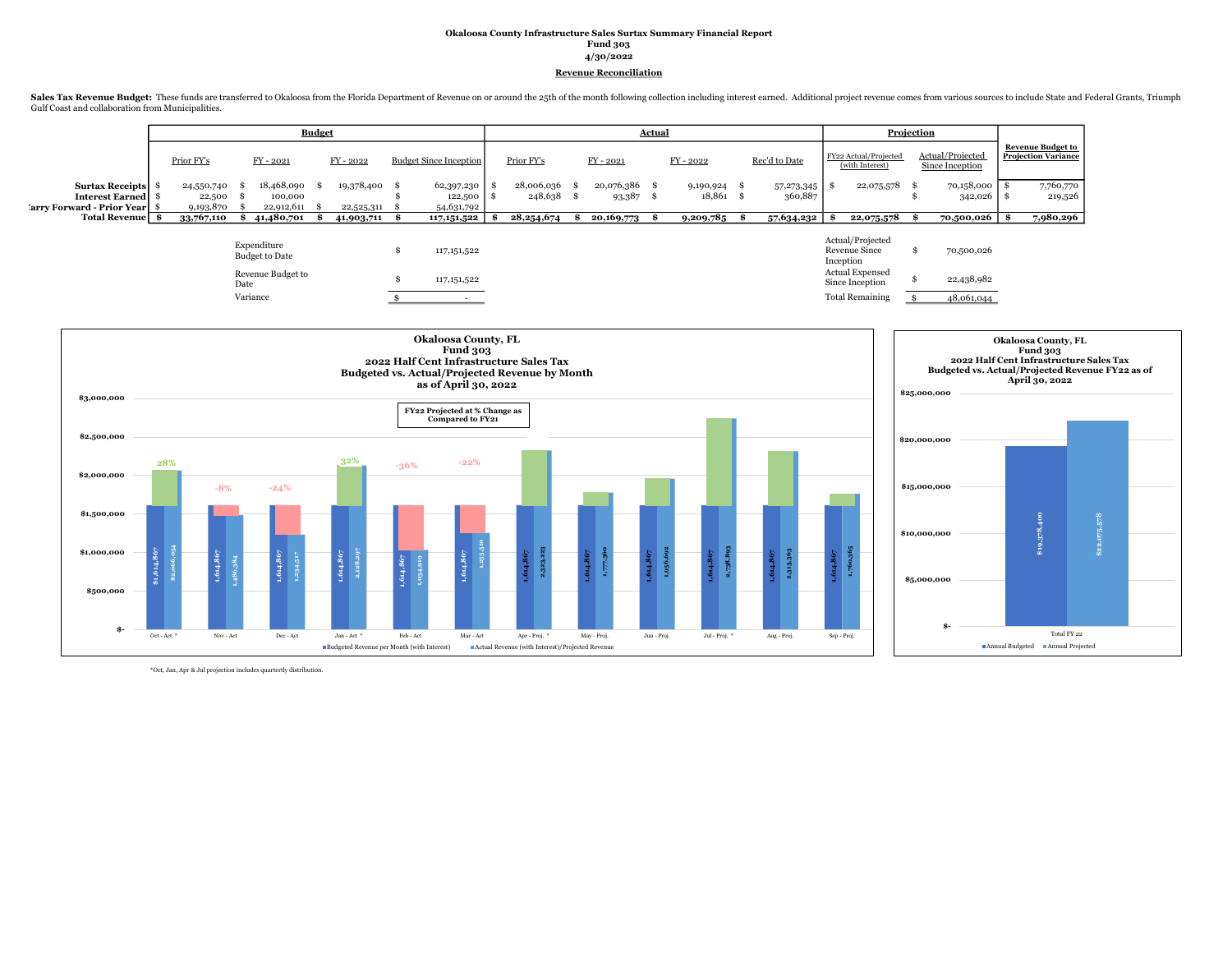## Okaloosa County Infrastructure Sales Surtax Summary Financial Report Fund 303 4/30/2022 Revenue Reconciliation

Sales Tax Revenue Budget: These funds are transferred to Okaloosa from the Florida Department of Revenue on or around the 25th of the month following collection including interest earned. Additional project revenue comes f Gulf Coast and collaboration from Municipalities.

|                             |            |            | <b>Budget</b> |               |                               |               |               | Actual |             |               | Projection<br>Actual/Projected<br>FY22 Actual/Projected<br>(with Interest)<br>Since Inception<br>22,075,578 |  |            |                                                 |
|-----------------------------|------------|------------|---------------|---------------|-------------------------------|---------------|---------------|--------|-------------|---------------|-------------------------------------------------------------------------------------------------------------|--|------------|-------------------------------------------------|
|                             | Prior FY's | FY-2021    |               | $FY - 2022$   | <b>Budget Since Inception</b> | Prior FY's    | $FY - 2021$   |        | $FY - 2022$ | Rec'd to Date |                                                                                                             |  |            | <b>Revenue Budget to</b><br>Projection Variance |
| Surtax Receipts             | 24,550,740 | 18,468,090 |               | 19,378,400 \$ | 62,397,230                    | 28,006,036 \$ | 20,076,386 \$ |        | 9,190,924   | 57,273,345    |                                                                                                             |  | 70,158,000 | 7,760,770                                       |
| <b>Interest Earned</b>   \$ | 22,500     | 100,000    |               |               | 122,500                       | $248,638$ \$  | 93,387        |        | 18,861      | 360,887       |                                                                                                             |  | 342,026    | 219,526                                         |
| 'arry Forward - Prior Year  | 9,193,870  | 22,912,611 |               | 22,525,311    | 54,631,792                    |               |               |        |             |               |                                                                                                             |  |            |                                                 |
| Total Revenue   \$          | 33,767,110 | 41,480,701 |               | 41,903,711    | 117,151,522                   | 28, 254, 674  | 20,169,773    |        | 9,209,785   | 57,634,232    | 22,075,578                                                                                                  |  | 70,500,026 | 7,980,296                                       |
|                             |            |            |               |               |                               |               |               |        |             |               |                                                                                                             |  |            |                                                 |

| Expenditure           |               | Actual/Projected       |            |
|-----------------------|---------------|------------------------|------------|
| <b>Budget to Date</b> | 117, 151, 522 | <b>Revenue Since</b>   | 70,500,026 |
|                       |               | Inception              |            |
| Revenue Budget to     |               | Actual Expensed        |            |
| Date                  | 117, 151, 522 | Since Inception        | 22,438,982 |
| Variance              |               |                        |            |
|                       |               | <b>Total Remaining</b> | 48,061,044 |
|                       |               |                        |            |



\*Oct, Jan, Apr & Jul projection includes quartertly distribution.